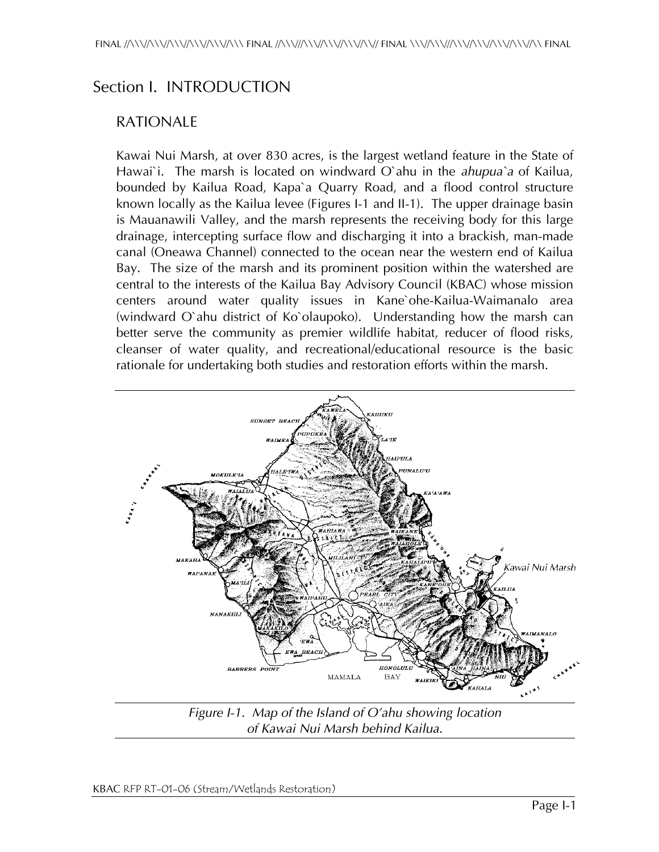# Section I. INTRODUCTION

#### RATIONALE

Kawai Nui Marsh, at over 830 acres, is the largest wetland feature in the State of Hawai`i. The marsh is located on windward O`ahu in the *ahupua`a* of Kailua, bounded by Kailua Road, Kapa`a Quarry Road, and a flood control structure known locally as the Kailua levee (Figures I-1 and II-1). The upper drainage basin is Mauanawili Valley, and the marsh represents the receiving body for this large drainage, intercepting surface flow and discharging it into a brackish, man-made canal (Oneawa Channel) connected to the ocean near the western end of Kailua Bay. The size of the marsh and its prominent position within the watershed are central to the interests of the Kailua Bay Advisory Council (KBAC) whose mission centers around water quality issues in Kane`ohe-Kailua-Waimanalo area (windward O`ahu district of Ko`olaupoko). Understanding how the marsh can better serve the community as premier wildlife habitat, reducer of flood risks, cleanser of water quality, and recreational/educational resource is the basic rationale for undertaking both studies and restoration efforts within the marsh.



*Figure I-1. Map of the Island of O'ahu showing location of Kawai Nui Marsh behind Kailua.*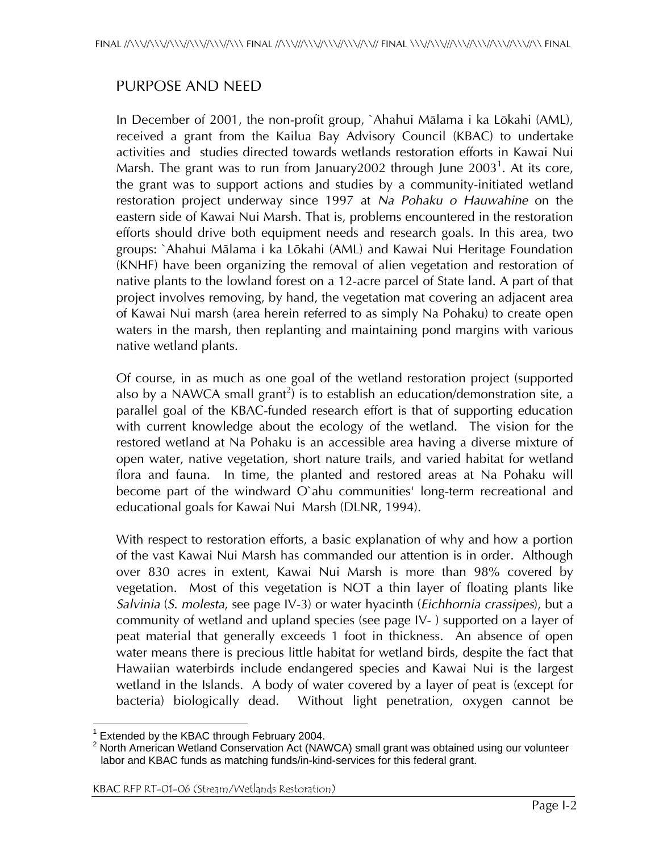## PURPOSE AND NEED

In December of 2001, the non-profit group, `Ahahui Mälama i ka Lökahi (AML), received a grant from the Kailua Bay Advisory Council (KBAC) to undertake activities and studies directed towards wetlands restoration efforts in Kawai Nui Marsh. The grant was to run from January2002 through June 2003 $^1$ . At its core, the grant was to support actions and studies by a community-initiated wetland restoration project underway since 1997 at *Na Pohaku o Hauwahine* on the eastern side of Kawai Nui Marsh. That is, problems encountered in the restoration efforts should drive both equipment needs and research goals. In this area, two groups: `Ahahui Mälama i ka Lökahi (AML) and Kawai Nui Heritage Foundation (KNHF) have been organizing the removal of alien vegetation and restoration of native plants to the lowland forest on a 12-acre parcel of State land. A part of that project involves removing, by hand, the vegetation mat covering an adjacent area of Kawai Nui marsh (area herein referred to as simply Na Pohaku) to create open waters in the marsh, then replanting and maintaining pond margins with various native wetland plants.

Of course, in as much as one goal of the wetland restoration project (supported also by a NAWCA small grant<sup>2</sup>) is to establish an education/demonstration site, a parallel goal of the KBAC-funded research effort is that of supporting education with current knowledge about the ecology of the wetland. The vision for the restored wetland at Na Pohaku is an accessible area having a diverse mixture of open water, native vegetation, short nature trails, and varied habitat for wetland flora and fauna. In time, the planted and restored areas at Na Pohaku will become part of the windward O`ahu communities' long-term recreational and educational goals for Kawai Nui Marsh (DLNR, 1994).

With respect to restoration efforts, a basic explanation of why and how a portion of the vast Kawai Nui Marsh has commanded our attention is in order. Although over 830 acres in extent, Kawai Nui Marsh is more than 98% covered by vegetation. Most of this vegetation is NOT a thin layer of floating plants like *Salvinia* (*S. molesta*, see page IV-3) or water hyacinth (*Eichhornia crassipes*), but a community of wetland and upland species (see page IV- ) supported on a layer of peat material that generally exceeds 1 foot in thickness. An absence of open water means there is precious little habitat for wetland birds, despite the fact that Hawaiian waterbirds include endangered species and Kawai Nui is the largest wetland in the Islands. A body of water covered by a layer of peat is (except for bacteria) biologically dead. Without light penetration, oxygen cannot be

l 1 Extended by the KBAC through February 2004.

North American Wetland Conservation Act (NAWCA) small grant was obtained using our volunteer labor and KBAC funds as matching funds/in-kind-services for this federal grant.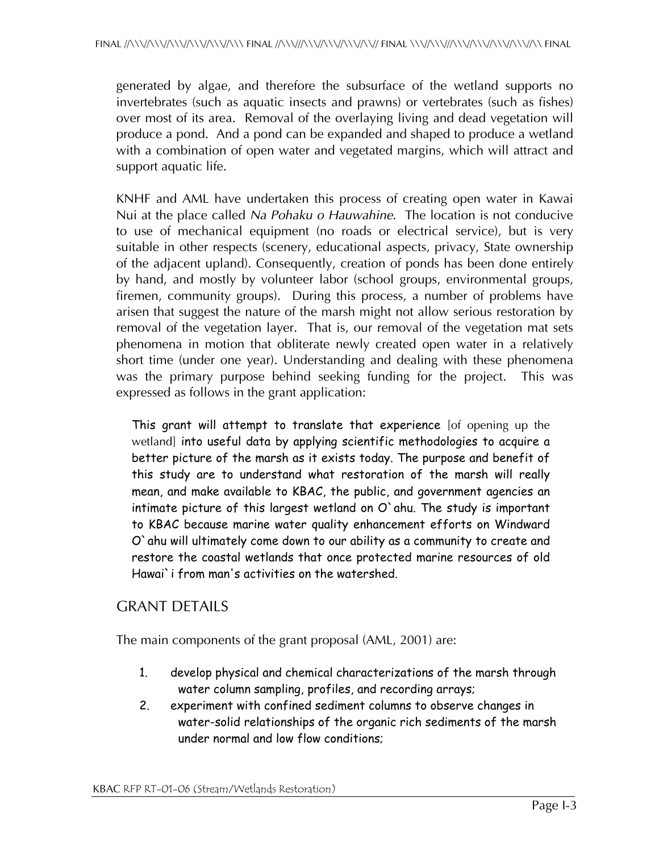generated by algae, and therefore the subsurface of the wetland supports no invertebrates (such as aquatic insects and prawns) or vertebrates (such as fishes) over most of its area. Removal of the overlaying living and dead vegetation will produce a pond. And a pond can be expanded and shaped to produce a wetland with a combination of open water and vegetated margins, which will attract and support aquatic life.

KNHF and AML have undertaken this process of creating open water in Kawai Nui at the place called *Na Pohaku o Hauwahine*. The location is not conducive to use of mechanical equipment (no roads or electrical service), but is very suitable in other respects (scenery, educational aspects, privacy, State ownership of the adjacent upland). Consequently, creation of ponds has been done entirely by hand, and mostly by volunteer labor (school groups, environmental groups, firemen, community groups). During this process, a number of problems have arisen that suggest the nature of the marsh might not allow serious restoration by removal of the vegetation layer. That is, our removal of the vegetation mat sets phenomena in motion that obliterate newly created open water in a relatively short time (under one year). Understanding and dealing with these phenomena was the primary purpose behind seeking funding for the project. This was expressed as follows in the grant application:

This grant will attempt to translate that experience [of opening up the wetland] into useful data by applying scientific methodologies to acquire a better picture of the marsh as it exists today. The purpose and benefit of this study are to understand what restoration of the marsh will really mean, and make available to KBAC, the public, and government agencies an intimate picture of this largest wetland on O`ahu. The study is important to KBAC because marine water quality enhancement efforts on Windward O`ahu will ultimately come down to our ability as a community to create and restore the coastal wetlands that once protected marine resources of old Hawai`i from man's activities on the watershed.

#### GRANT DETAILS

The main components of the grant proposal (AML, 2001) are:

- 1. develop physical and chemical characterizations of the marsh through water column sampling, profiles, and recording arrays;
- 2. experiment with confined sediment columns to observe changes in water-solid relationships of the organic rich sediments of the marsh under normal and low flow conditions;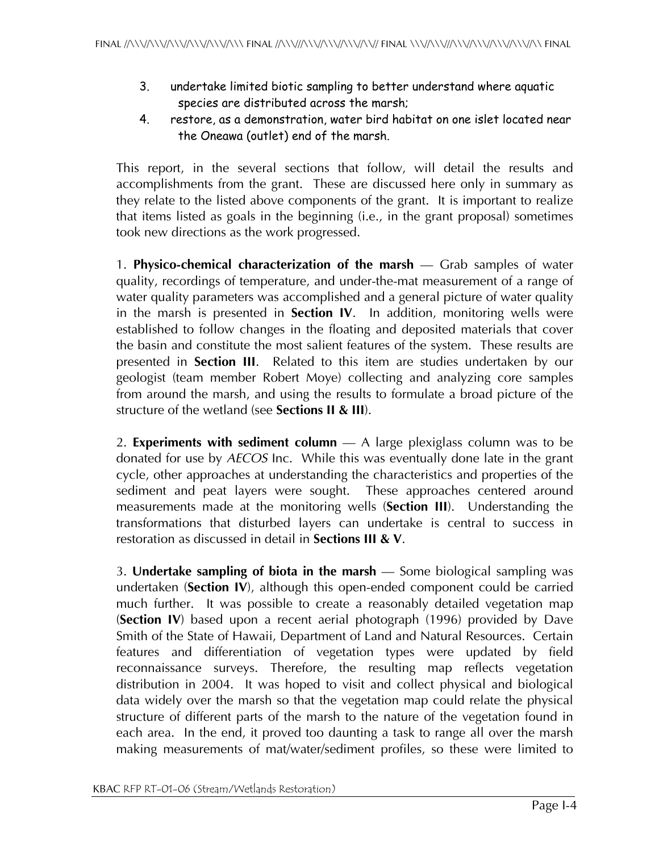- 3. undertake limited biotic sampling to better understand where aquatic species are distributed across the marsh;
- 4. restore, as a demonstration, water bird habitat on one islet located near the Oneawa (outlet) end of the marsh.

This report, in the several sections that follow, will detail the results and accomplishments from the grant. These are discussed here only in summary as they relate to the listed above components of the grant. It is important to realize that items listed as goals in the beginning (i.e., in the grant proposal) sometimes took new directions as the work progressed.

1. **Physico-chemical characterization of the marsh** — Grab samples of water quality, recordings of temperature, and under-the-mat measurement of a range of water quality parameters was accomplished and a general picture of water quality in the marsh is presented in **Section IV**. In addition, monitoring wells were established to follow changes in the floating and deposited materials that cover the basin and constitute the most salient features of the system. These results are presented in **Section III**. Related to this item are studies undertaken by our geologist (team member Robert Moye) collecting and analyzing core samples from around the marsh, and using the results to formulate a broad picture of the structure of the wetland (see **Sections II & III**).

2. **Experiments with sediment column** — A large plexiglass column was to be donated for use by *AECOS* Inc. While this was eventually done late in the grant cycle, other approaches at understanding the characteristics and properties of the sediment and peat layers were sought. These approaches centered around measurements made at the monitoring wells (**Section III**). Understanding the transformations that disturbed layers can undertake is central to success in restoration as discussed in detail in **Sections III & V**.

3. **Undertake sampling of biota in the marsh** — Some biological sampling was undertaken (**Section IV**), although this open-ended component could be carried much further. It was possible to create a reasonably detailed vegetation map (**Section IV**) based upon a recent aerial photograph (1996) provided by Dave Smith of the State of Hawaii, Department of Land and Natural Resources. Certain features and differentiation of vegetation types were updated by field reconnaissance surveys. Therefore, the resulting map reflects vegetation distribution in 2004. It was hoped to visit and collect physical and biological data widely over the marsh so that the vegetation map could relate the physical structure of different parts of the marsh to the nature of the vegetation found in each area. In the end, it proved too daunting a task to range all over the marsh making measurements of mat/water/sediment profiles, so these were limited to